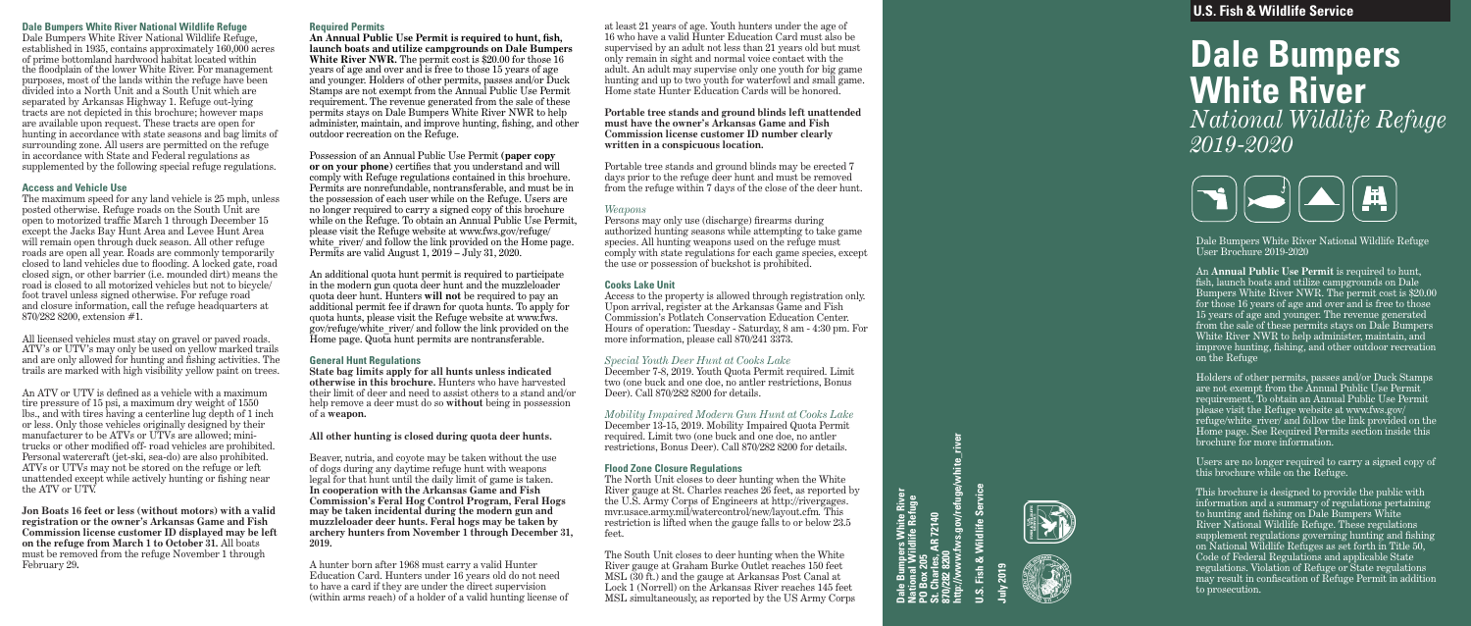**U.S. Fish & Wildlife Service**

# **Dale Bumpers White River** *National Wildlife Refuge 2019-2020*



Dale Bumpers White River National Wildlife Refuge User Brochure 2019-2020

An **Annual Public Use Permit** is required to hunt, fish, launch boats and utilize campgrounds on Dale Bumpers White River NWR. The permit cost is \$20.00 for those 16 years of age and over and is free to those 15 years of age and younger. The revenue generated from the sale of these permits stays on Dale Bumpers White River NWR to help administer, maintain, and improve hunting, fishing, and other outdoor recreation on the Refuge

Holders of other permits, passes and/or Duck Stamps are not exempt from the Annual Public Use Permit requirement. To obtain an Annual Public Use Permit please visit the Refuge website at www.fws.gov/ refuge/white river/ and follow the link provided on the Home page. See Required Permits section inside this brochure for more information.

Bumpers White River<br>nal Wildlife Refuge<br>ox 205<br>arles, AR 72140<br>28 8200 **http://www.fws.gov/refuge/white\_river** Service **St. Charles, AR 72140** Wildlife: **870/282 8200 PO Box 205**

Users are no longer required to carry a signed copy of this brochure while on the Refuge.

This brochure is designed to provide the public with information and a summary of regulations pertaining to hunting and fishing on Dale Bumpers White River National Wildlife Refuge. These regulations supplement regulations governing hunting and fishing on National Wildlife Refuges as set forth in Title 50, Code of Federal Regulations and applicable State regulations. Violation of Refuge or State regulations may result in confiscation of Refuge Permit in addition to prosecution.

**U.S. Fish & Wildlife Service**

**July 2019**





#### **Dale Bumpers White River National Wildlife Refuge**

Dale Bumpers White River National Wildlife Refuge, established in 1935, contains approximately 160,000 acres of prime bottomland hardwood habitat located within the floodplain of the lower White River. For management purposes, most of the lands within the refuge have been divided into a North Unit and a South Unit which are separated by Arkansas Highway 1. Refuge out-lying tracts are not depicted in this brochure; however maps are available upon request. These tracts are open for hunting in accordance with state seasons and bag limits of surrounding zone. All users are permitted on the refuge in accordance with State and Federal regulations as supplemented by the following special refuge regulations.

#### **Access and Vehicle Use**

The maximum speed for any land vehicle is 25 mph, unless posted otherwise. Refuge roads on the South Unit are open to motorized traffic March 1 through December 15 except the Jacks Bay Hunt Area and Levee Hunt Area will remain open through duck season. All other refuge roads are open all year. Roads are commonly temporarily closed to land vehicles due to flooding. A locked gate, road closed sign, or other barrier (i.e. mounded dirt) means the road is closed to all motorized vehicles but not to bicycle/ foot travel unless signed otherwise. For refuge road and closure information, call the refuge headquarters at 870/282 8200, extension #1.

All licensed vehicles must stay on gravel or paved roads. ATV's or UTV's may only be used on yellow marked trails and are only allowed for hunting and fishing activities. The trails are marked with high visibility yellow paint on trees.

An ATV or UTV is defined as a vehicle with a maximum tire pressure of 15 psi, a maximum dry weight of 1550 lbs., and with tires having a centerline lug depth of 1 inch or less. Only those vehicles originally designed by their manufacturer to be ATVs or UTVs are allowed; minitrucks or other modified off- road vehicles are prohibited. Personal watercraft (jet-ski, sea-do) are also prohibited. ATVs or UTVs may not be stored on the refuge or left unattended except while actively hunting or fishing near the ATV or UTV.

**Jon Boats 16 feet or less (without motors) with a valid registration or the owner's Arkansas Game and Fish Commission license customer ID displayed may be left on the refuge from March 1 to October 31.** All boats must be removed from the refuge November 1 through February 29 **.**

#### **Required Permits**

**An Annual Public Use Permit is required to hunt, fish, launch boats and utilize campgrounds on Dale Bumpers White River NWR.** The permit cost is \$20.00 for those 16 years of age and over and is free to those 15 years of age and younger. Holders of other permits, passes and/or Duck Stamps are not exempt from the Annual Public Use Permit requirement. The revenue generated from the sale of these permits stays on Dale Bumpers White River NWR to help administer, maintain, and improve hunting, fishing, and other outdoor recreation on the Refuge.

Possession of an Annual Public Use Permit **(paper copy or on your phone)** certifies that you understand and will comply with Refuge regulations contained in this brochure. Permits are nonrefundable, nontransferable, and must be in the possession of each user while on the Refuge. Users are no longer required to carry a signed copy of this brochure while on the Refuge. To obtain an Annual Public Use Permit, please visit the Refuge website at www.fws.gov/refuge/ white river/ and follow the link provided on the Home page. Permits are valid August 1, 2019 – July 31, 2020.

An additional quota hunt permit is required to participate in the modern gun quota deer hunt and the muzzleloader quota deer hunt. Hunters **will not** be required to pay an additional permit fee if drawn for quota hunts. To apply for quota hunts, please visit the Refuge website at www.fws. gov/refuge/white\_river/ and follow the link provided on the Home page. Quota hunt permits are nontransferable.

#### **General Hunt Regulations**

**State bag limits apply for all hunts unless indicated otherwise in this brochure.** Hunters who have harvested their limit of deer and need to assist others to a stand and/or help remove a deer must do so **without** being in possession of a **weapon.**

#### **All other hunting is closed during quota deer hunts.**

Beaver, nutria, and coyote may be taken without the use of dogs during any daytime refuge hunt with weapons legal for that hunt until the daily limit of game is taken. **In cooperation with the Arkansas Game and Fish Commission's Feral Hog Control Program, Feral Hogs may be taken incidental during the modern gun and muzzleloader deer hunts. Feral hogs may be taken by archery hunters from November 1 through December 31, 2019.**

A hunter born after 1968 must carry a valid Hunter Education Card. Hunters under 16 years old do not need to have a card if they are under the direct supervision (within arms reach) of a holder of a valid hunting license of at least 21 years of age. Youth hunters under the age of 16 who have a valid Hunter Education Card must also be supervised by an adult not less than 21 years old but must only remain in sight and normal voice contact with the adult. An adult may supervise only one youth for big game hunting and up to two youth for waterfowl and small game. Home state Hunter Education Cards will be honored.

#### **Portable tree stands and ground blinds left unattended must have the owner's Arkansas Game and Fish Commission license customer ID number clearly written in a conspicuous location.**

Portable tree stands and ground blinds may be erected 7 days prior to the refuge deer hunt and must be removed from the refuge within 7 days of the close of the deer hunt.

#### *Weapons*

Persons may only use (discharge) firearms during authorized hunting seasons while attempting to take game species. All hunting weapons used on the refuge must comply with state regulations for each game species, except the use or possession of buckshot is prohibited.

#### **Cooks Lake Unit**

Access to the property is allowed through registration only. Upon arrival, register at the Arkansas Game and Fish Commission's Potlatch Conservation Education Center. Hours of operation: Tuesday - Saturday, 8 am - 4:30 pm. For more information, please call 870/241 3373.

#### *Special Youth Deer Hunt at Cooks Lake*

December 7-8, 2019. Youth Quota Permit required. Limit two (one buck and one doe, no antler restrictions, Bonus Deer). Call 870/282 8200 for details.

*Mobility Impaired Modern Gun Hunt at Cooks Lake* December 13-15, 2019. Mobility Impaired Quota Permit required. Limit two (one buck and one doe, no antler restrictions, Bonus Deer). Call 870/282 8200 for details.

#### **Flood Zone Closure Regulations**

The North Unit closes to deer hunting when the White River gauge at St. Charles reaches 26 feet, as reported by the U.S. Army Corps of Engineers at http://rivergages. mvr.usace.army.mil/watercontrol/new/layout.cfm*.* This restriction is lifted when the gauge falls to or below 23.5 feet.

The South Unit closes to deer hunting when the White River gauge at Graham Burke Outlet reaches 150 feet MSL (30 ft.) and the gauge at Arkansas Post Canal at Lock 1 (Norrell) on the Arkansas River reaches 145 feet MSL simultaneously, as reported by the US Army Corps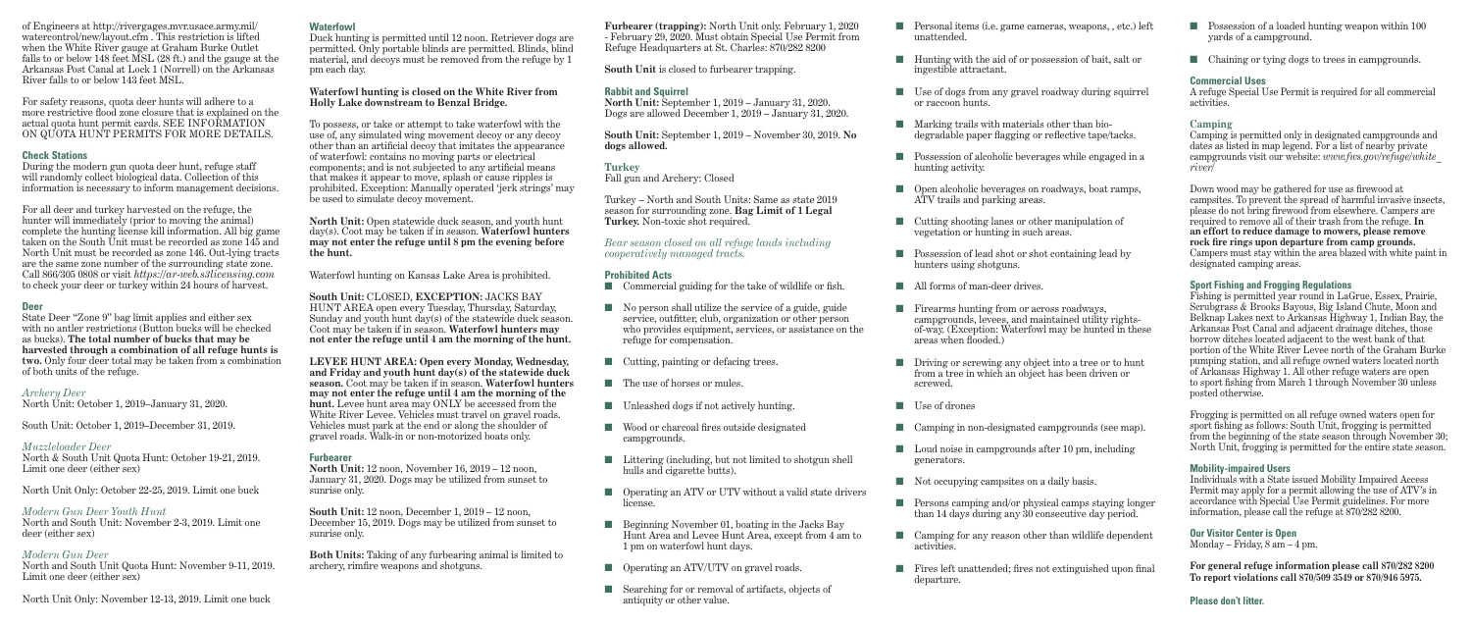of Engineers at http://rivergages.mvr.usace.army.mil/ watercontrol/new/layout.cfm . This restriction is lifted when the White River gauge at Graham Burke Outlet falls to or below 148 feet MSL (28 ft.) and the gauge at the Arkansas Post Canal at Lock 1 (Norrell) on the Arkansas River falls to or below 143 feet MSL.

For safety reasons, quota deer hunts will adhere to a more restrictive flood zone closure that is explained on the actual quota hunt permit cards. SEE INFORMATION ON QUOTA HUNT PERMITS FOR MORE DETAILS.

#### **Check Stations**

During the modern gun quota deer hunt, refuge staff will randomly collect biological data. Collection of this information is necessary to inform management decisions.

For all deer and turkey harvested on the refuge, the hunter will immediately (prior to moving the animal) complete the hunting license kill information. All big game taken on the South Unit must be recorded as zone 145 and North Unit must be recorded as zone 146. Out-lying tracts are the same zone number of the surrounding state zone. Call 866/305 0808 or visit *https://ar-web.s3licensing.com*  to check your deer or turkey within 24 hours of harvest.

#### **Deer**

State Deer "Zone 9" bag limit applies and either sex with no antler restrictions (Button bucks will be checked as bucks). **The total number of bucks that may be harvested through a combination of all refuge hunts is two.** Only four deer total may be taken from a combination of both units of the refuge.

#### *Archery Deer*

North Unit: October 1, 2019–January 31, 2020.

South Unit: October 1, 2019–December 31, 2019.

#### *Muzzleloader Deer*

North & South Unit Quota Hunt: October 19-21, 2019. Limit one deer (either sex)

North Unit Only: October 22-25, 2019. Limit one buck

### *Modern Gun Deer Youth Hunt*

North and South Unit: November 2-3, 2019. Limit one deer (either sex)

#### *Modern Gun Deer*

North and South Unit Quota Hunt: November 9-11, 2019. Limit one deer (either sex)

North Unit Only: November 12-13, 2019. Limit one buck

#### **Waterfowl**

Duck hunting is permitted until 12 noon. Retriever dogs are permitted. Only portable blinds are permitted. Blinds, blind material, and decoys must be removed from the refuge by 1 pm each day.

#### **Waterfowl hunting is closed on the White River from Holly Lake downstream to Benzal Bridge.**

To possess, or take or attempt to take waterfowl with the use of, any simulated wing movement decoy or any decoy other than an artificial decoy that imitates the appearance of waterfowl: contains no moving parts or electrical components; and is not subjected to any artificial means that makes it appear to move, splash or cause ripples is prohibited. Exception: Manually operated 'jerk strings' may be used to simulate decoy movement.

**North Unit:** Open statewide duck season, and youth hunt day(s). Coot may be taken if in season. **Waterfowl hunters may not enter the refuge until 8 pm the evening before the hunt.**

Hunting with the aid of or possession of bait, salt or ingestible attractant.

Use of dogs from any gravel roadway during squirrel or raccoon hunts.

Waterfowl hunting on Kansas Lake Area is prohibited.

**South Unit:** CLOSED, **EXCEPTION:** JACKS BAY HUNT AREA open every Tuesday, Thursday, Saturday, Sunday and youth hunt day(s) of the statewide duck season. Coot may be taken if in season. **Waterfowl hunters may not enter the refuge until 4 am the morning of the hunt.**

Firearms hunting from or across roadways, campgrounds, levees, and maintained utility rightsof-way. (Exception: Waterfowl may be hunted in these areas when flooded.)

Loud noise in campgrounds after 10 pm, including generators.

Not occupying campsites on a daily basis.

Camping for any reason other than wildlife dependent activities.

**LEVEE HUNT AREA: Open every Monday, Wednesday, and Friday and youth hunt day(s) of the statewide duck season.** Coot may be taken if in season. **Waterfowl hunters may not enter the refuge until 4 am the morning of the hunt.** Levee hunt area may ONLY be accessed from the White River Levee. Vehicles must travel on gravel roads. Vehicles must park at the end or along the shoulder of gravel roads. Walk-in or non-motorized boats only.

> Fires left unattended; fires not extinguished upon final departure.

- $\Box$  Possession of a loaded hunting weapon within 100 yards of a campground.
- n Chaining or tying dogs to trees in campgrounds.

#### **Furbearer**

**North Unit:** 12 noon, November 16, 2019 – 12 noon, January 31, 2020. Dogs may be utilized from sunset to sunrise only.

**South Unit:** 12 noon, December 1, 2019 – 12 noon, December 15, 2019. Dogs may be utilized from sunset to sunrise only.

**Both Units:** Taking of any furbearing animal is limited to archery, rimfire weapons and shotguns.

| Furbearer (trapping): North Unit only. February 1, 2020<br>- February 29, 2020. Must obtain Special Use Permit from<br>Refuge Headquarters at St. Charles: 870/282 8200 |                                                                                                                                                                                                       |  |  |  |
|-------------------------------------------------------------------------------------------------------------------------------------------------------------------------|-------------------------------------------------------------------------------------------------------------------------------------------------------------------------------------------------------|--|--|--|
| <b>South Unit is closed to furbearer trapping.</b>                                                                                                                      |                                                                                                                                                                                                       |  |  |  |
| <b>Rabbit and Squirrel</b><br><b>North Unit:</b> September 1, 2019 – January 31, 2020.<br>Dogs are allowed December 1, 2019 - January 31, 2020.                         |                                                                                                                                                                                                       |  |  |  |
|                                                                                                                                                                         | South Unit: September 1, 2019 - November 30, 2019. No<br>dogs allowed.                                                                                                                                |  |  |  |
| <b>Turkey</b><br>Fall gun and Archery: Closed                                                                                                                           |                                                                                                                                                                                                       |  |  |  |
| Turkey – North and South Units: Same as state 2019<br>season for surrounding zone. Bag Limit of 1 Legal<br>Turkey. Non-toxic shot required.                             |                                                                                                                                                                                                       |  |  |  |
| Bear season closed on all refuge lands including<br>cooperatively managed tracts.                                                                                       |                                                                                                                                                                                                       |  |  |  |
| ▄                                                                                                                                                                       | <b>Prohibited Acts</b><br>Commercial guiding for the take of wildlife or fish.                                                                                                                        |  |  |  |
|                                                                                                                                                                         | No person shall utilize the service of a guide, guide<br>service, outfitter, club, organization or other person<br>who provides equipment, services, or assistance on the<br>refuge for compensation. |  |  |  |
| ш                                                                                                                                                                       | Cutting, painting or defacing trees.                                                                                                                                                                  |  |  |  |
| a a                                                                                                                                                                     | The use of horses or mules.                                                                                                                                                                           |  |  |  |
| ш                                                                                                                                                                       | Unleashed dogs if not actively hunting.                                                                                                                                                               |  |  |  |
| ٠                                                                                                                                                                       | Wood or charcoal fires outside designated<br>campgrounds.                                                                                                                                             |  |  |  |
|                                                                                                                                                                         | Littering (including, but not limited to shotgun shell<br>hulls and cigarette butts).                                                                                                                 |  |  |  |
|                                                                                                                                                                         | Operating an ATV or UTV without a valid state drivers<br>license.                                                                                                                                     |  |  |  |
|                                                                                                                                                                         | Beginning November 01, boating in the Jacks Bay<br>Hunt Area and Levee Hunt Area, except from 4 am to<br>1 pm on waterfowl hunt days.                                                                 |  |  |  |
|                                                                                                                                                                         | Operating an ATV/UTV on gravel roads.                                                                                                                                                                 |  |  |  |
|                                                                                                                                                                         | Searching for or removal of artifacts, objects of                                                                                                                                                     |  |  |  |

antiquity or other value.

n Personal items (i.e. game cameras, weapons, , etc.) left unattended.

n Marking trails with materials other than biodegradable paper flagging or reflective tape/tacks.

n Possession of alcoholic beverages while engaged in a hunting activity.

n Open alcoholic beverages on roadways, boat ramps, ATV trails and parking areas.

n Cutting shooting lanes or other manipulation of vegetation or hunting in such areas.

n Possession of lead shot or shot containing lead by hunters using shotguns.

All forms of man-deer drives.

n Driving or screwing any object into a tree or to hunt from a tree in which an object has been driven or screwed.

Use of drones

Camping in non-designated campgrounds (see map).

n Persons camping and/or physical camps staying longer than 14 days during any 30 consecutive day period.

#### **Commercial Uses**

A refuge Special Use Permit is required for all commercial activities.

#### **Camping**

Camping is permitted only in designated campgrounds and dates as listed in map legend. For a list of nearby private campgrounds visit our website: *www.fws.gov/refuge/white\_ river/*

Down wood may be gathered for use as firewood at campsites. To prevent the spread of harmful invasive insects, please do not bring firewood from elsewhere. Campers are required to remove all of their trash from the refuge. **In an effort to reduce damage to mowers, please remove rock fire rings upon departure from camp grounds.**  Campers must stay within the area blazed with white paint in designated camping areas.

#### **Sport Fishing and Frogging Regulations**

Fishing is permitted year round in LaGrue, Essex, Prairie, Scrubgrass & Brooks Bayous, Big Island Chute, Moon and Belknap Lakes next to Arkansas Highway 1, Indian Bay, the Arkansas Post Canal and adjacent drainage ditches, those borrow ditches located adjacent to the west bank of that portion of the White River Levee north of the Graham Burke pumping station, and all refuge owned waters located north of Arkansas Highway 1. All other refuge waters are open to sport fishing from March 1 through November 30 unless posted otherwise.

Frogging is permitted on all refuge owned waters open for sport fishing as follows: South Unit, frogging is permitted from the beginning of the state season through November 30; North Unit, frogging is permitted for the entire state season.

#### **Mobility-impaired Users**

Individuals with a State issued Mobility Impaired Access Permit may apply for a permit allowing the use of ATV's in accordance with Special Use Permit guidelines. For more information, please call the refuge at 870/282 8200.

#### **Our Visitor Center is Open**

Monday – Friday, 8 am – 4 pm.

**For general refuge information please call 870/282 8200 To report violations call 870/509 3549 or 870/946 5975.**

**Please don't litter.**